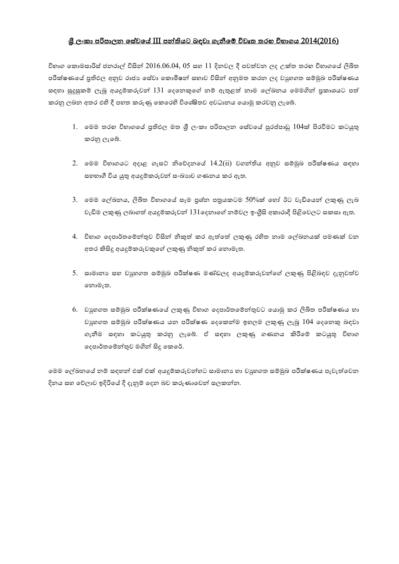### <u>ශී ලංකා පරිපාලන සේවයේ III පන්තියට බඳවා ගැනීමේ විවෘත තරහ විභාගය 2014(2016)</u>

චිභාග කොමසාරිස් ජනරාල් විසින් 2016.06.04, 05 සහ 11 දිනවල දී පවත්වන ලද උක්ත තරහ විභාගයේ ලිබිත පරීක්ෂණයේ පුතිඵල අනුව රාජා සේවා කොමිෂන් සභාව විසින් අනුමත කරන ලද වාූහගත සම්මුඛ පරීක්ෂණය සඳහා සුදුසුකම් ලැබූ අයදූම්කරුවන්  $131$  දෙනෙකුගේ නම් ඇතුළත් නාම ලේඛනය මෙමගින් පුකාශයට පත් කරනු ලබන අතර එහි දී පහත කරුණු කෙරෙහි විශේෂිතව අවධානය යොමු කරවනු ලැබේ.

- 1. මෙම තරහ විභාගයේ පුතිඵල මත ශුී ලංකා පරිපාලන සේවයේ පුරප්පාඩු 104ක් පිරවීමට කටයුතු කරනු ලැබේ.
- 2. මෙම චිභාගයට අදාළ ගැසට් නිවේදනයේ  $14.2(ii)$  වගන්තිය අනුව සම්මුඛ පරීක්ෂණය සඳහා සහභාගී විය යුතු අයදූම්කරුවන් සංඛාහව ගණනය කර ඇත.
- 3. මෙම ලේඛනය, ලිබිත විභාගයේ සෑම පුශ්න පනුයකටම 50%ක් හෝ ඊට වැඩියෙන් ලකුණු ලැබ වැඩිම ලකුණු ලබාගත් අයදූම්කරුවන්  $131$ දෙනාගේ නම්වල ඉංගීුසි අකාරාදී පිළිවෙලට සකසා ඇත.
- 4. චිහාග දෙපාර්තමෙින්තුව විසින් නිකුත් කර ඇත්තේ ලකුණු රහිත නාම ලේඛනයක් පමණක් වන අතර කිසිදූ අයදූම්කරුවකුගේ ලකුණු නිකුත් කර නොමැත.
- 5. සාමානා සහ වාූහගත සම්මුඛ පරීක්ෂණ මණ්ඩලද අයදුම්කරුවන්ගේ ලකුණු පිළිබඳව දැනුවත්ව ෙනමැත.
- 6. වාහගත සම්මුඛ පරීක්ෂණයේ ලකුණු විහාග දෙපාර්තමේන්තුවට යොමු කර ලිබිත පරීක්ෂණය හා වාූහගත සම්මුඛ පරීක්ෂණය යන පරීක්ෂණ දෙකෙන්ම ඉහලම ලකුණු ලැබූ 104 දෙනෙකු බඳවා ගැනීම සඳහා කටයුතු කරනු ලැබේ. ඒ සඳහා ලකුණු ගණනය කිරීමේ කටයුතු විභාග දෙපාර්තමේන්තුව මගින් සිදු කෙරේ.

ෙමම ලේඛනයේ නම් සඳහන් එක් එක් අයදූම්කරුවන්හට සාමානා හා වාෘුහගත සම්මුඛ පරීක්ෂණය පැවැත්වෙන දිනය සහ වේලාව ඉදිරියේ දී දැනුම් දෙන බව කරුණාවෙන් සලකන්න.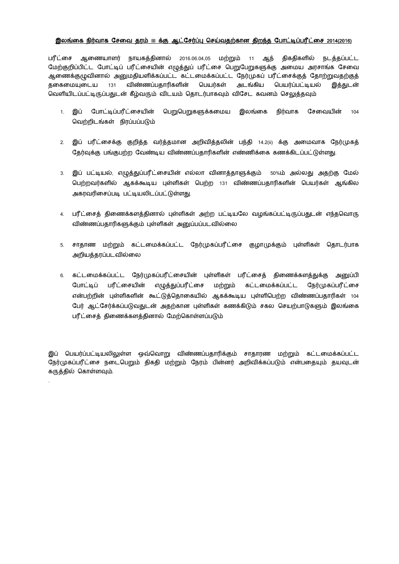#### <u>இலங்கை நிர்வாக சேவை தரம் III க்கு ஆட்சேர்ப்பு செய்வதற்கான திறந்த போட்டிப்பரீட்சை 2014(2016)</u>

பரீட்சை ஆணையாளர் நாயகத்தினால் 2016.06.04,05 மற்றும் 11 ஆந் திகதிகளில் நடத்தப்பட்ட மேற்குறிப்பிட்ட போட்டிப் பரீட்சையின் எழுத்துப் பரீட்சை பெறுபேறுகளுக்கு அமைய அரசாங்க சேவை ஆணைக்குழுவினால் அனுமதியளிக்கப்பட்ட கட்டமைக்கப்பட்ட நேர்முகப் பரீட்சைக்குத் தோற்றுவதற்குத் தகைமையுடைய 131 விண்ணப்பதாரிகளின் பெயர்கள் அடங்கிய பெயர்ப்பட்டியல் இத்துடன் வெளியிடப்பட்டிருப்பதுடன் கீம்வரும் விடயம் கொடர்பாகவும் விசேட கவனம் செலுக்கவும்

- 1. இப் போட்டிப்பரீட்சையின் பெறுபெறுகளுக்கமைய இலங்கை நிர்வாக சேவையின் 104 வெற்றிடங்கள் நிரப்பப்படும்
- 2. இப் பரீட்சைக்கு குறித்த வர்த்தமான அறிவித்தலின் பந்தி 14.2(ii) க்கு அமைவாக நேர்முகத் தேர்வுக்கு பங்குபற்ற வேண்டிய விண்ணப்பதாரிகளின் எண்ணிக்கை கணக்கிடப்பட்டுள்ளது.
- 3. இப் பட்டியல், எழுத்துப்பரீட்சையின் எல்லா வினாத்தாளுக்கும் 50%ம் அல்லது அதற்கு மேல் பெற்றவர்களில் ஆகக்கூடிய புள்ளிகள் பெற்ற 131 விண்ணப்பதாரிகளின் பெயர்கள் ஆங்கில அகரவரிசைப்படி பட்டியலிடப்பட்டுள்ளது.
- 4. பரீட்சைத் திணைக்களத்தினால் புள்ளிகள் அற்ற பட்டியலே வழங்கப்பட்டிருப்பதுடன் எந்தவொரு விண்ணப்பதாரிகளுக்கும் புள்ளிகள் அனுப்பப்படவில்லை
- 5. சாதாண மற்றும் கட்டமைக்கப்பட்ட நேர்முகப்பரீட்சை குழாமுக்கும் புள்ளிகள் தொடர்பாக அறியத்தரப்படவில்லை
- 6. கட்டமைக்கப்பட்ட நேர்முகப்பரீட்சையின் புள்ளிகள் பரீட்சைத் திணைக்களத்துக்கு அனுப்பி போட்டிப் பரீட்சையின் எழுத்துப்பரீட்சை மற்றும் கட்டமைக்கப்பட்ட நேர்முகப்பரீட்சை என்பற்றின் புள்ளிகளின் கூட்டுத்தொகையில் ஆகக்கூடிய புள்ளிபெற்ற விண்ணப்பதாரிகள் 104 பேர் ஆட்சேர்க்கப்படுவதுடன் அதற்கான புள்ளிகள் கணக்கிடும் சகல செயற்பாடுகளும் இலங்கை பரீட்சைத் திணைக்களத்தினால் மேற்கொள்ளப்படும்

இப் பெயர்ப்பட்டியலிலுள்ள ஒவ்வொறு விண்ணப்பதாரிக்கும் சாதாரண மற்றும் கட்டமைக்கப்பட்ட நேர்முகப்பரீட்சை நடைபெறும் திகதி மற்றும் நேரம் பின்னர் அறிவிக்கப்படும் என்பதையும் தயவுடன் கருத்தில் கொள்ளவும்.

.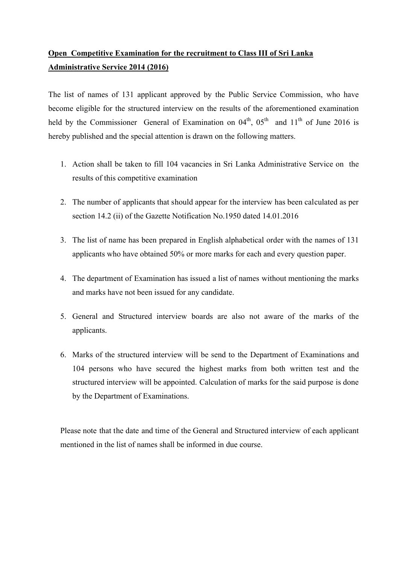# Open Competitive Examination for the recruitment to Class III of Sri Lanka Administrative Service 2014 (2016)

The list of names of 131 applicant approved by the Public Service Commission, who have become eligible for the structured interview on the results of the aforementioned examination held by the Commissioner General of Examination on  $04<sup>th</sup>$ ,  $05<sup>th</sup>$  and  $11<sup>th</sup>$  of June 2016 is hereby published and the special attention is drawn on the following matters.

- 1. Action shall be taken to fill 104 vacancies in Sri Lanka Administrative Service on the results of this competitive examination
- 2. The number of applicants that should appear for the interview has been calculated as per section 14.2 (ii) of the Gazette Notification No.1950 dated 14.01.2016
- 3. The list of name has been prepared in English alphabetical order with the names of 131 applicants who have obtained 50% or more marks for each and every question paper.
- 4. The department of Examination has issued a list of names without mentioning the marks and marks have not been issued for any candidate.
- 5. General and Structured interview boards are also not aware of the marks of the applicants.
- 6. Marks of the structured interview will be send to the Department of Examinations and 104 persons who have secured the highest marks from both written test and the structured interview will be appointed. Calculation of marks for the said purpose is done by the Department of Examinations.

Please note that the date and time of the General and Structured interview of each applicant mentioned in the list of names shall be informed in due course.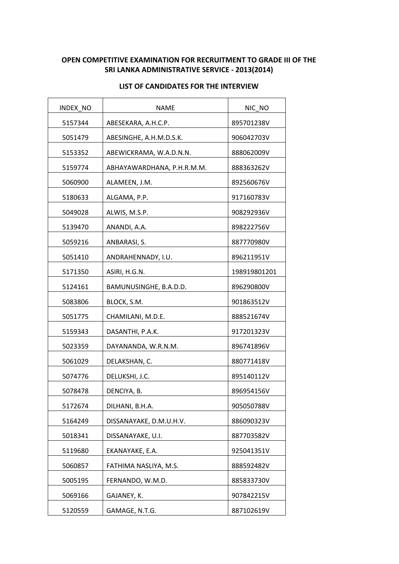## OPEN COMPETITIVE EXAMINATION FOR RECRUITMENT TO GRADE III OF THE SRI LANKA ADMINISTRATIVE SERVICE - 2013(2014)

| INDEX_NO | <b>NAME</b>                | NIC_NO       |
|----------|----------------------------|--------------|
| 5157344  | ABESEKARA, A.H.C.P.        | 895701238V   |
| 5051479  | ABESINGHE, A.H.M.D.S.K.    | 906042703V   |
| 5153352  | ABEWICKRAMA, W.A.D.N.N.    | 888062009V   |
| 5159774  | ABHAYAWARDHANA, P.H.R.M.M. | 888363262V   |
| 5060900  | ALAMEEN, J.M.              | 892560676V   |
| 5180633  | ALGAMA, P.P.               | 917160783V   |
| 5049028  | ALWIS, M.S.P.              | 908292936V   |
| 5139470  | ANANDI, A.A.               | 898222756V   |
| 5059216  | ANBARASI, S.               | 887770980V   |
| 5051410  | ANDRAHENNADY, I.U.         | 896211951V   |
| 5171350  | ASIRI, H.G.N.              | 198919801201 |
| 5124161  | BAMUNUSINGHE, B.A.D.D.     | 896290800V   |
| 5083806  | BLOCK, S.M.                | 901863512V   |
| 5051775  | CHAMILANI, M.D.E.          | 888521674V   |
| 5159343  | DASANTHI, P.A.K.           | 917201323V   |
| 5023359  | DAYANANDA, W.R.N.M.        | 896741896V   |
| 5061029  | DELAKSHAN, C.              | 880771418V   |
| 5074776  | DELUKSHI, J.C.             | 895140112V   |
| 5078478  | DENCIYA, B.                | 896954156V   |
| 5172674  | DILHANI, B.H.A.            | 905050788V   |
| 5164249  | DISSANAYAKE, D.M.U.H.V.    | 886090323V   |
| 5018341  | DISSANAYAKE, U.I.          | 887703582V   |
| 5119680  | EKANAYAKE, E.A.            | 925041351V   |
| 5060857  | FATHIMA NASLIYA, M.S.      | 888592482V   |
| 5005195  | FERNANDO, W.M.D.           | 885833730V   |
| 5069166  | GAJANEY, K.                | 907842215V   |
| 5120559  | GAMAGE, N.T.G.             | 887102619V   |

### LIST OF CANDIDATES FOR THE INTERVIEW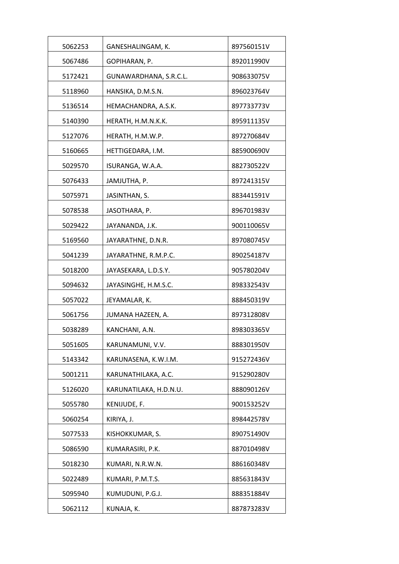| 5062253 | GANESHALINGAM, K.      | 897560151V |
|---------|------------------------|------------|
| 5067486 | GOPIHARAN, P.          | 892011990V |
| 5172421 | GUNAWARDHANA, S.R.C.L. | 908633075V |
| 5118960 | HANSIKA, D.M.S.N.      | 896023764V |
| 5136514 | HEMACHANDRA, A.S.K.    | 897733773V |
| 5140390 | HERATH, H.M.N.K.K.     | 895911135V |
| 5127076 | HERATH, H.M.W.P.       | 897270684V |
| 5160665 | HETTIGEDARA, I.M.      | 885900690V |
| 5029570 | ISURANGA, W.A.A.       | 882730522V |
| 5076433 | JAMJUTHA, P.           | 897241315V |
| 5075971 | JASINTHAN, S.          | 883441591V |
| 5078538 | JASOTHARA, P.          | 896701983V |
| 5029422 | JAYANANDA, J.K.        | 900110065V |
| 5169560 | JAYARATHNE, D.N.R.     | 897080745V |
| 5041239 | JAYARATHNE, R.M.P.C.   | 890254187V |
| 5018200 | JAYASEKARA, L.D.S.Y.   | 905780204V |
| 5094632 | JAYASINGHE, H.M.S.C.   | 898332543V |
| 5057022 | JEYAMALAR, K.          | 888450319V |
| 5061756 | JUMANA HAZEEN, A.      | 897312808V |
| 5038289 | KANCHANI, A.N.         | 898303365V |
| 5051605 | KARUNAMUNI, V.V.       | 888301950V |
| 5143342 | KARUNASENA, K.W.I.M.   | 915272436V |
| 5001211 | KARUNATHILAKA, A.C.    | 915290280V |
| 5126020 | KARUNATILAKA, H.D.N.U. | 888090126V |
| 5055780 | KENIJUDE, F.           | 900153252V |
| 5060254 | KIRIYA, J.             | 898442578V |
| 5077533 | KISHOKKUMAR, S.        | 890751490V |
| 5086590 | KUMARASIRI, P.K.       | 887010498V |
| 5018230 | KUMARI, N.R.W.N.       | 886160348V |
| 5022489 | KUMARI, P.M.T.S.       | 885631843V |
| 5095940 | KUMUDUNI, P.G.J.       | 888351884V |
| 5062112 | KUNAJA, K.             | 887873283V |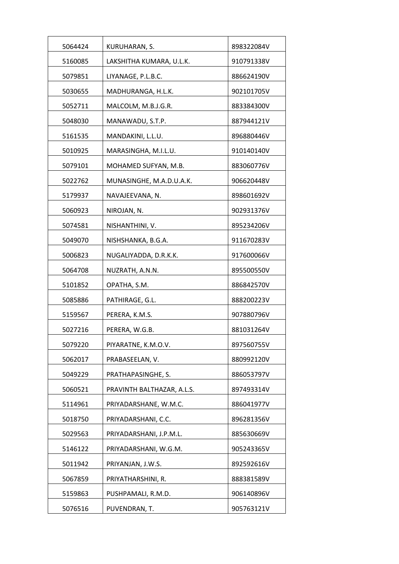| 5064424 | KURUHARAN, S.              | 898322084V |
|---------|----------------------------|------------|
| 5160085 | LAKSHITHA KUMARA, U.L.K.   | 910791338V |
| 5079851 | LIYANAGE, P.L.B.C.         | 886624190V |
| 5030655 | MADHURANGA, H.L.K.         | 902101705V |
| 5052711 | MALCOLM, M.B.J.G.R.        | 883384300V |
| 5048030 | MANAWADU, S.T.P.           | 887944121V |
| 5161535 | MANDAKINI, L.L.U.          | 896880446V |
| 5010925 | MARASINGHA, M.I.L.U.       | 910140140V |
| 5079101 | MOHAMED SUFYAN, M.B.       | 883060776V |
| 5022762 | MUNASINGHE, M.A.D.U.A.K.   | 906620448V |
| 5179937 | NAVAJEEVANA, N.            | 898601692V |
| 5060923 | NIROJAN, N.                | 902931376V |
| 5074581 | NISHANTHINI, V.            | 895234206V |
| 5049070 | NISHSHANKA, B.G.A.         | 911670283V |
| 5006823 | NUGALIYADDA, D.R.K.K.      | 917600066V |
| 5064708 | NUZRATH, A.N.N.            | 895500550V |
| 5101852 | OPATHA, S.M.               | 886842570V |
| 5085886 | PATHIRAGE, G.L.            | 888200223V |
| 5159567 | PERERA, K.M.S.             | 907880796V |
| 5027216 | PERERA, W.G.B.             | 881031264V |
| 5079220 | PIYARATNE, K.M.O.V.        | 897560755V |
| 5062017 | PRABASEELAN, V.            | 880992120V |
| 5049229 | PRATHAPASINGHE, S.         | 886053797V |
| 5060521 | PRAVINTH BALTHAZAR, A.L.S. | 897493314V |
| 5114961 | PRIYADARSHANE, W.M.C.      | 886041977V |
| 5018750 | PRIYADARSHANI, C.C.        | 896281356V |
| 5029563 | PRIYADARSHANI, J.P.M.L.    | 885630669V |
| 5146122 | PRIYADARSHANI, W.G.M.      | 905243365V |
| 5011942 | PRIYANJAN, J.W.S.          | 892592616V |
| 5067859 | PRIYATHARSHINI, R.         | 888381589V |
| 5159863 | PUSHPAMALI, R.M.D.         | 906140896V |
| 5076516 | PUVENDRAN, T.              | 905763121V |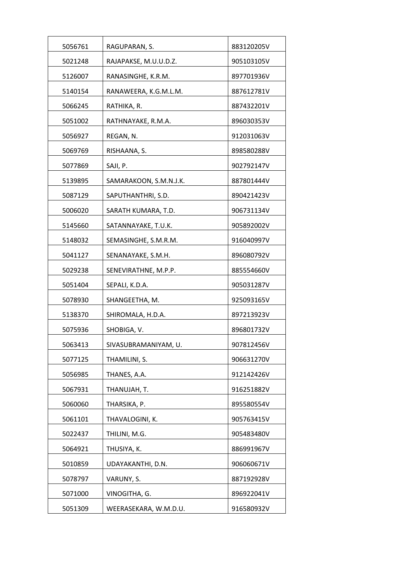| 5056761 | RAGUPARAN, S.          | 883120205V |
|---------|------------------------|------------|
| 5021248 | RAJAPAKSE, M.U.U.D.Z.  | 905103105V |
| 5126007 | RANASINGHE, K.R.M.     | 897701936V |
| 5140154 | RANAWEERA, K.G.M.L.M.  | 887612781V |
| 5066245 | RATHIKA, R.            | 887432201V |
| 5051002 | RATHNAYAKE, R.M.A.     | 896030353V |
| 5056927 | REGAN, N.              | 912031063V |
| 5069769 | RISHAANA, S.           | 898580288V |
| 5077869 | SAJI, P.               | 902792147V |
| 5139895 | SAMARAKOON, S.M.N.J.K. | 887801444V |
| 5087129 | SAPUTHANTHRI, S.D.     | 890421423V |
| 5006020 | SARATH KUMARA, T.D.    | 906731134V |
| 5145660 | SATANNAYAKE, T.U.K.    | 905892002V |
| 5148032 | SEMASINGHE, S.M.R.M.   | 916040997V |
| 5041127 | SENANAYAKE, S.M.H.     | 896080792V |
| 5029238 | SENEVIRATHNE, M.P.P.   | 885554660V |
| 5051404 | SEPALI, K.D.A.         | 905031287V |
| 5078930 | SHANGEETHA, M.         | 925093165V |
| 5138370 | SHIROMALA, H.D.A.      | 897213923V |
| 5075936 | SHOBIGA, V.            | 896801732V |
| 5063413 | SIVASUBRAMANIYAM, U.   | 907812456V |
| 5077125 | THAMILINI, S.          | 906631270V |
| 5056985 | THANES, A.A.           | 912142426V |
| 5067931 | THANUJAH, T.           | 916251882V |
| 5060060 | THARSIKA, P.           | 895580554V |
| 5061101 | THAVALOGINI, K.        | 905763415V |
| 5022437 | THILINI, M.G.          | 905483480V |
| 5064921 | THUSIYA, K.            | 886991967V |
| 5010859 | UDAYAKANTHI, D.N.      | 906060671V |
| 5078797 | VARUNY, S.             | 887192928V |
| 5071000 | VINOGITHA, G.          | 896922041V |
| 5051309 | WEERASEKARA, W.M.D.U.  | 916580932V |